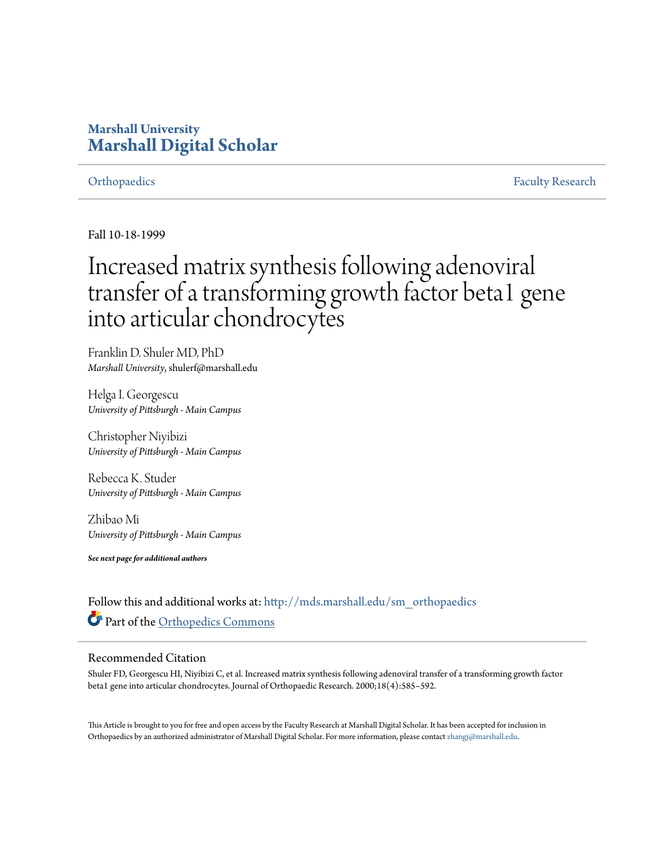## **Marshall University [Marshall Digital Scholar](http://mds.marshall.edu?utm_source=mds.marshall.edu%2Fsm_orthopaedics%2F11&utm_medium=PDF&utm_campaign=PDFCoverPages)**

[Orthopaedics](http://mds.marshall.edu/sm_orthopaedics?utm_source=mds.marshall.edu%2Fsm_orthopaedics%2F11&utm_medium=PDF&utm_campaign=PDFCoverPages) [Faculty Research](http://mds.marshall.edu/sm_faculty?utm_source=mds.marshall.edu%2Fsm_orthopaedics%2F11&utm_medium=PDF&utm_campaign=PDFCoverPages)

Fall 10-18-1999

# Increased matrix synthesis following adenoviral transfer of a transforming growth factor beta1 gene into articular chondrocytes

Franklin D. Shuler MD, PhD *Marshall University*, shulerf@marshall.edu

Helga I. Georgescu *University of Pittsburgh - Main Campus*

Christopher Niyibizi *University of Pittsburgh - Main Campus*

Rebecca K. Studer *University of Pittsburgh - Main Campus*

Zhibao Mi *University of Pittsburgh - Main Campus*

*See next page for additional authors*

Follow this and additional works at: [http://mds.marshall.edu/sm\\_orthopaedics](http://mds.marshall.edu/sm_orthopaedics?utm_source=mds.marshall.edu%2Fsm_orthopaedics%2F11&utm_medium=PDF&utm_campaign=PDFCoverPages) Part of the [Orthopedics Commons](http://network.bepress.com/hgg/discipline/696?utm_source=mds.marshall.edu%2Fsm_orthopaedics%2F11&utm_medium=PDF&utm_campaign=PDFCoverPages)

### Recommended Citation

Shuler FD, Georgescu HI, Niyibizi C, et al. Increased matrix synthesis following adenoviral transfer of a transforming growth factor beta1 gene into articular chondrocytes. Journal of Orthopaedic Research. 2000;18(4):585–592.

This Article is brought to you for free and open access by the Faculty Research at Marshall Digital Scholar. It has been accepted for inclusion in Orthopaedics by an authorized administrator of Marshall Digital Scholar. For more information, please contact [zhangj@marshall.edu.](mailto:zhangj@marshall.edu)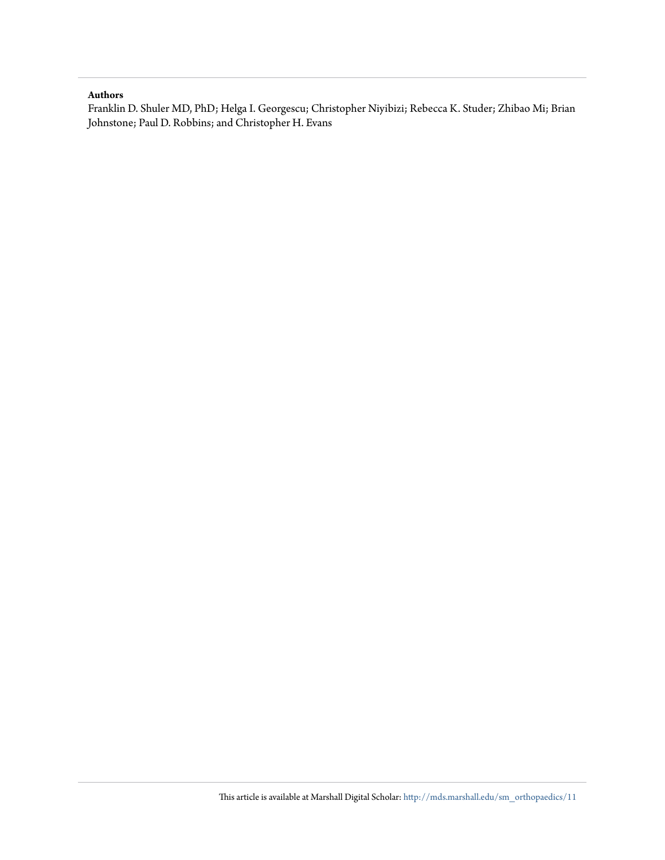#### **Authors**

Franklin D. Shuler MD, PhD; Helga I. Georgescu; Christopher Niyibizi; Rebecca K. Studer; Zhibao Mi; Brian Johnstone; Paul D. Robbins; and Christopher H. Evans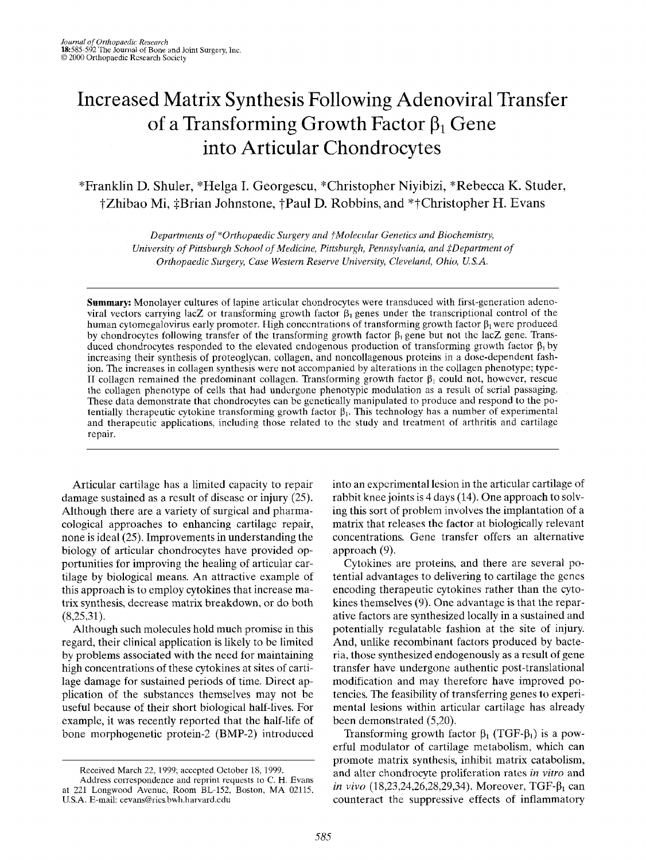# Increased Matrix Synthesis Following Adenoviral Transfer of a Transforming Growth Factor  $\beta_1$  Gene into Articular Chondrocytes

### "Franklin D. Shuler, \*Helga I. Georgescu, "Christopher Niyibizi, \*Rebecca K. Studer, †Zhibao Mi, ‡Brian Johnstone, †Paul D. Robbins, and \*†Christopher H. Evans

*Departnzents of \*Orthopuedic Surgery and fMolecidnr Genetics and Biochemistry, University of Pittsburgh School of Medicine, Pittsburgh, Pennsylvania, and \$Department* of *Orthopaedic Surgery, Case Western Reserve University, Cleveland, Ohio, U.S.A.* 

**Summary:** Monolayer cultures of lapine articular chondrocytes were transduced with first-generation adenoviral vectors carrying lacZ or transforming growth factor  $\beta_1$  genes under the transcriptional control of the human cytomegalovirus early promoter. High concentrations of transforming growth factor  $\beta_1$  were produced by chondrocytes following transfer of the transforming growth factor  $\beta_1$  gene but not the lacZ gene. Transduced chondrocytes responded to the elevated endogenous production of transforming growth factor  $\beta_1$  by increasing their synthesis of proteoglycan, collagen, and noncollagenous proteins in a dose-dependent fashion. The increases in collagen synthesis were not accompanied by alterations in the collagen phenotype; type-II collagen remained the predominant collagen. Transforming growth factor  $\beta_1$  could not, however, rescue the collagen phenotype of cells that had undergone phenotypic modulation as a result of scrial passaging. These data demonstrate that chondrocytes can be genetically manipulated to produce and respond lo the potentially therapeutic cytokine transforming growth factor  $\beta_1$ . This technology has a number of experimental and therapeutic applications, including those related to the study and treatment of arthritis and cartilage repair.

Articular cartilage has a limited capacity to repair damage sustained as a result of disease or injury (25). Although there are a variety of surgical and pharmacological approaches to enhancing cartilage repair, none is ideal (25). Improvements in understanding the biology of articular chondrocytes have provided opportunities for improving the healing of articular cartilage by biological means. An attractive example of this approach is to employ cytokines that increase matrix synthesis, decrease matrix breakdown, or do both  $(8,25,31)$ .

Although such molecules hold much promise in this regard, their clinical application is likely to be limited by problems associated with the need for maintaining high concentrations of these cytokines at sites of cartilage damage for sustained periods of time. Direct application of the substances themselves may not be useful because of their short biological half-lives. For example, it was recently reported that the half-life of bone morphogenetic protein-2 (BMP-2) introduced into an expcrimental lesion in the articular cartilage of rabbit knee joints is 4 days (14). One approach to solving this sort of problem involves the implantation of a matrix that releases the factor at biologically relevant concentrations. Gene transfer offers an alternative approach (9).

Cytokines are proteins, and there are several potential advantages to delivering to cartilage the genes encoding therapeutic cytokines rather than the cytokines themselves  $(9)$ . One advantage is that the reparative factors are synthesized locally in a sustained and potentially regulatable fashion at the site of injury. And, unlike recombinant factors produced by bacteria, those synthesized endogenously as a result of gene transfer have undergone authentic post-translational modification and may therefore have improved potencies. The feasibility of transferring genes to experimental lesions within articular cartilage has already been demonstrated (5,20).

Transforming growth factor  $\beta_1$  (TGF- $\beta_1$ ) is a powerful modulator of cartilage metabolism, which can promote matrix synthesis, inhibit matrix catabolism, and alter chondrocyte proliferation rates in *vitro* and *in vivo* (18,23,24,26,28,29,34). Moreover, TGF-β<sub>1</sub> can counteract the suppressive effects of inflammatory

Received March 22, 1999; accepted October 18, 1999.

Address correspondence and reprint requests to **C.** H. Evans at 221 Longwood Avenuc, Room BL-152, Boston, MA 02115, **U.S.A. E-mail: cevans@rics.bwh.harvard.edu**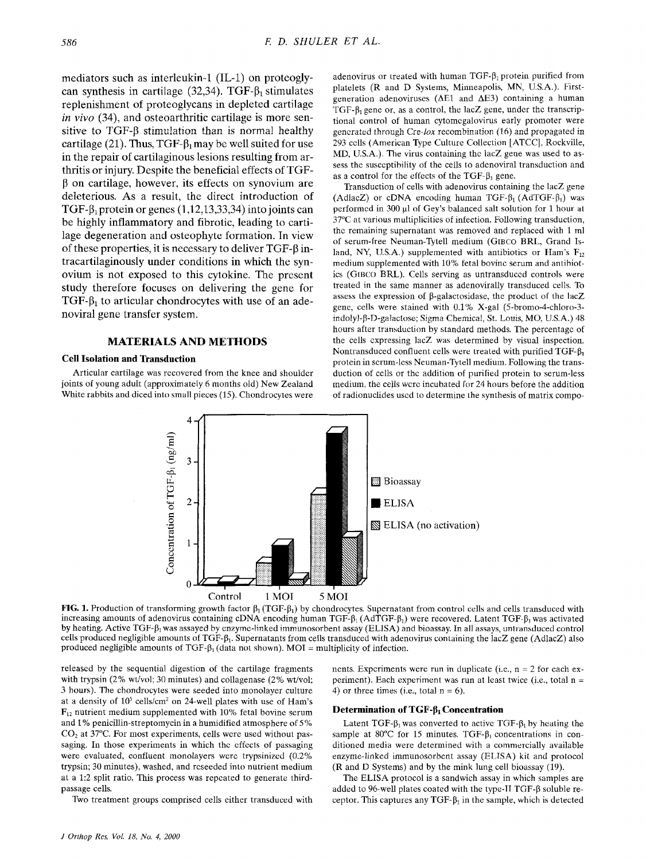mediators such as interleukin-1 (IL-1) on proteoglycan synthesis in cartilage (32,34). TGF- $\beta_1$  stimulates replenishment of proteoglycans in depleted cartilage *in* vivo (34), and osteoarthritic cartilage is more sensitive to TGF- $\beta$  stimulation than is normal healthy cartilage (21). Thus, TGF- $\beta_1$  may be well suited for use in the repair of cartilaginous lesions resulting from arthritis or injury. Despite the beneficial effects of TGF-**P** on cartilage, however, its effects on synovium are deleterious. **As** a result, the direct introduction of TGF- $\beta_1$  protein or genes (1,12,13,33,34) into joints can be highly inflammatory and fibrotic, leading to cartilage degeneration and osteophyte formation. In view of these properties, it is necessary to deliver  $TGF- $\beta$  in$ tracartilaginously under conditions in which the synovium is not exposed to this cytokine. The present study therefore focuses on delivering the gene for TGF- $\beta_1$  to articular chondrocytes with use of an adenoviral gene transfer system.

#### **MATERIALS AND METHODS**

#### **Cell Isolation and Transduction**

Articular cartilage was recovered from the knee and shoulder joints of young adult (approximately *6* months old) New Zealand White rabbits and diced into small pieces (15). Chondrocytes were adenovirus or treated with human TGF- $\beta_1$  protein purified from platelets (R and D Systems, Minneapolis, MN, U.S.A.). Firstgeneration adenoviruses **(AEI** and AE3) containing a human TGF- $\beta_1$  gene or, as a control, the lacZ gene, under the transcriptional control of human cytomcgalovirus early promoter were generated through Cre-lox recombination (16) and propagated in 293 cclls (American Type Culture Collection [ATCC], Rockville, MD, U.S.A.). The virus containing the lacZ gene was used to assess the susceptibility of the cells to adenoviral transduction and as a control for the effects of the  $TGF- $\beta_1$  gene.$ 

Transduction of cells with adenovirus containing the lacZ gene (AdlacZ) or cDNA encoding human TGF- $\beta_1$  (AdTGF- $\beta_1$ ) was perfornicd in 300 p1 **of** Gey's balanced salt solution for 1 hour at 37°C at various multiplicities of infection. Following transduction, thc remaining supernatant was removed and replaced with 1 ml of serum-free Neuman-Tytell medium (GIBCO BRL. Grand Island, NY, U.S.A.) supplemented with antibiotics or Ham's F<sub>12</sub> medium supplemented with 10% fetal bovinc serum and antihiotics **(GrBco** BRL). Cells serving as untransduced controls were treated in the same manner as adenovirally transduced cells. To assess the expression of  $\beta$ -galactosidase, the product of the lacZ gene, cells were stained with 0.1% X-gal (5-bromo-4-chloro-3 indolyl-B-D-galactose; Sigma Chemical, St. Louis, MO, U.S.A.) 48 hours after transduction by standard methods. The percentage of the cells expressing lacZ was determined by visual inspection. Nontransduced confluent cells were treated with purified  $TGF- $\beta_1$$ protein in scrum-less Neuman-Tytell medium. Following the transduction of cells or the addition of purified protein to serum-less medium, the cells wcrc incubated for 24 hours before the addition of radionuclides uscd to determine the synthesis of matrix compo-



**FIG. 1.** Production of transforming growth factor  $\beta_1$  (TGF- $\beta_1$ ) by chondrocytes. Supernatant from control cells and cells transduced with increasing amounts of adenovirus containing cDNA encoding human  $TGF-\beta_1$  (AdTGF- $\beta_1$ ) were recovered. Latent TGF- $\beta_1$  was activated by heating. Active TGF-β<sub>1</sub> was assayed by enzyme-linked immunosorbent assay (ELISA) and bioassay. In all assays, untransduced control cells produced negligible amounts of TGF-P1. Supernatants from cells transduccd with adenovirus containing the lacZ gene (AdlacZ) also produced negligible amounts of TGF- $\beta_1$  (data not shown). MOI = multiplicity of infection.

released by the sequential digestion of the cartilage fragments with trypsin  $(2\%$  wt/vol; 30 minutes) and collagenase  $(2\%$  wt/vol; 3 hours). The chondrocytes were seeded into monolayer culture at a density of **lo5** cellsicm' on 24-well plates with use of Ham's **F12** nutrient medium supplemented with 10% fetal bovine serum and 1% penicillin-streptomycin in a humidified atmosphere of 5%  $CO<sub>2</sub>$  at 37 $^{\circ}$ C. For most experiments, cells were used without passaging. In those experiments in which thc cffects of passaging were evaluated, confluent monolayers were trypsinized *(0.2%*  trypsin; 30 minutes), washed, and rcseeded into nutrient medium at a 1:2 split ratio. This process was rcpcated to generate thirdpassage cells.

Two treatment groups comprised cells either transduced with

nents. Experiments were run in duplicate (i.e.,  $n = 2$  for each experiment). Each experiment was run at least twice (i.e., total  $n =$ 4) or three times (i.e., total  $n = 6$ ).

#### **Determination of TGF-β<sub>I</sub> Concentration**

Latent TGF- $\beta_1$  was converted to active TGF- $\beta_1$  by heating the sample at 80°C for 15 minutes. TGF- $\beta_1$  concentrations in conditioned media were determined with a commercially available enzyme-linked immunosorbent assay (ELTSA) kit and protocol (R and D Systems) and by the mink lung cell bioassay (19).

The ELISA protocol is a sandwich assay in which samples are added to 96-well plates coated with the type-II TGF-8 soluble receptor. This captures any TGF- $\beta_1$  in the sample, which is detected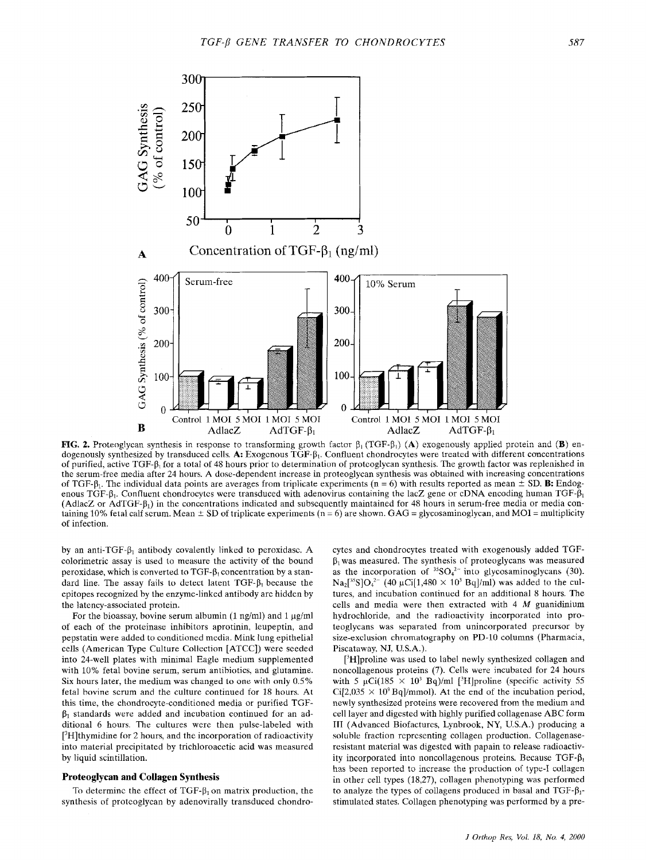

**FIG. 2.** Proteoglycan synthesis in response to transforming growth factor  $\beta_1$  (TGF- $\beta_1$ ) **(A)** exogenously applied protein and **(B)** endogenously synthesized by transduced cells. A: Exogenous TGF- $\beta_1$ . Confluent chondrocytes were treated with different concentrations of purified, active TGF- $\beta_1$  for a total of 48 hours prior to determination of protcoglycan synthesis. The growth factor was replenished in the serum-free media after 24 hours. **A** dose-dependent increase in proteoglycan synthesis was obtained with increasing conccntrations of TGF- $\beta_1$ . The individual data points are averages from triplicate experiments ( $n = 6$ ) with results reported as mean  $\pm$  SD. **B**: Endogenous TGF- $\beta_1$ . Confluent chondrocytes were transduced with adenovirus containing the lacZ gene or cDNA encoding human TGF- $\beta_1$ (AdlacZ or AdTGF- $\beta_1$ ) in the concentrations indicated and subsequently maintained for 48 hours in serum-free media or media containing 10% fetal calf scrum. Mean  $\pm$  SD of triplicate experiments (n = 6) are shown. GAG = glycosaminoglycan, and MOI = multiplicity of infection.

by an anti-TGF- $\beta_1$  antibody covalently linked to peroxidasc. A colorimetric assay is used to measure the activity of the bound peroxidase, which is converted to TGF- $\beta_1$  concentration by a standard line. The assay fails to detect latent  $TGF-\beta_1$  because the epitopes recognized by the enzyme-linked antibody are hidden by the latency-associated protein.

For the bioassay, bovine serum albumin  $(1 \text{ ng/ml})$  and  $1 \text{ µg/ml}$ of each of the proteinase inhibitors aprotinin, leupeptin, and pepstatin were added to conditioned media. Mink lung epithelial cells (American Type Culture Collection [ATCC]) were seeded into 24-well plates with minimal Eagle medium supplemented with 10% fetal bovine serum, serum antibiotics, and glutamine. Six hours later, the medium was changed to one with only 0.5% fetal bovine scrum and the culture continued for 18 hours. At this time, the chondrocyte-conditioned media or purified TGF- $\beta_1$  standards were added and incubation continued for an additional 6 hours. The cultures wcrc then pulse-labeled with  $[3H]$ thymidine for 2 hours, and the incorporation of radioactivity into material precipitated by trichloroacetic acid was measured by liquid scintillation.

#### **Proteoglycan and Collagen Synthesis**

To determine the effect of  $TGF- $\beta_1$  on matrix production, the$ synthesis of protcoglycan by adenovirally transduced chondro-

cytes and chondrocytes treated with exogenously added TGF- $\beta_1$  was measured. The synthesis of proteoglycans was measured as the incorporation of  ${}^{35}SO_4{}^{2-}$  into glycosaminoglycans (30).  $Na<sub>2</sub>[<sup>35</sup>SIO<sub>4</sub><sup>2-</sup> (40 µCi[1,480 \times 10<sup>3</sup> Ba]/ml) was added to the cul$ tures, and incubation continued for an additional 8 hours. The cells and media were then extracted with 4 *M* guanidinium hydrochloride. and the radioactivity incorporatcd into proteoglycans was separated from unincorporated precursor by size-exclusion chromatography on PD-10 columns (Pharmacia, Piscataway. NJ, U.S.A.).

 $[^3H]$ proline was used to label newly synthesized collagen and noncollagenous proteins (7). Cells were incubated for 24 hours with 5  $\mu$ Ci(185 × 10<sup>3</sup> Bq)/ml [<sup>3</sup>H]proline (specific activity 55  $Ci[2,035 \times 10^{9} Bq]/mmol$ . At the end of the incubation period, newly synthesized proteins were recovered from the medium and cell layer and digcsted with highly purified collagenase ABC form **IT1** (Advanced Biofacturcs, Lynbrook, NY, U.S.A.) producing a soluble fraction reprcscnting collagen production. Collagenaseresistant matcrial was digested with papain to release radioactivity incorporated into noncollagenous proteins. Because  $TGF-<sub>0</sub>$ , has been reported to increase the production of type-I collagen in other cell types (18,27), collagen phenotyping was performed to analyze the types of collagens produced in basal and  $TGF-\beta_1$ stimulated states. Collagen phenotyping was performed by a pre-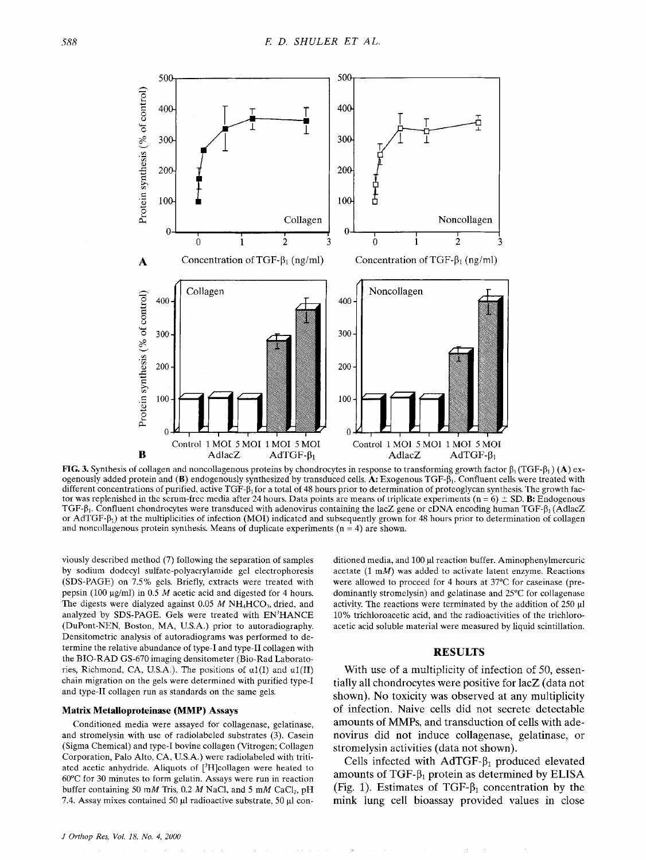

**FIG. 3.** Synthesis of collagen and noncollagenous proteins by chondrocytes in response to transforming growth factor  $\beta_1(TGF-\beta_1)$  (A) exogenously added protein and (B) endogenously synthesized by transduced cells. A: Exogenous TGF- $\beta_1$ . Confluent cells were treated with different concentrations of purified, active  $TGF-\beta_1$  for a total of 48 hours prior to determination of proteoglycan synthesis. The growth factor was replenished in the scrum-free media after 24 hours. Data points are means of triplicate experiments  $(n = 6) \pm SD$ . **B:** Endogenous TGF- $\beta_1$ . Confluent chondrocytes were transduced with adenovirus containing the lacZ gene or cDNA encoding human TGF- $\beta_1$  (AdlacZ or AdTGF- $\beta_1$ ) at the multiplicities of infection (MOI) indicated and subsequently grown for 48 hours prior to determination of collagen and noncollagenous protein synthesis. Means of duplicate experiments (n = **4)** are shown.

viously described method *(7)* following the separation of samples by sodium dodccyl sulfate-polyacrylamide gel electrophoresis (SDS-PAGE) on 7.5% gels. Briefly, extracts were treated with pepsin (100 µg/ml) in 0.5 *M* acetic acid and digested for 4 hours. The digests were dialyzed against 0.05 *M* NH<sub>4</sub>HCO<sub>3</sub>, dried, and analyzed by SDS-PAGE. Gels were treated with EN'HANCE (DuPont-NEN, Boston, MA, U.S.A.) prior to autoradiography. Densitometric analysis of autoradiograms was performed to determine the relative abundance of type-I and type-I1 collagen with the BIO-RAD GS-670 imaging densitometer (Bio-Rad Laboratories, Richmond, CA, U.S.A.). The positions of *al(1)* and **ul(I1)**  chain migration on the gels were determined with purified type-I and type-I1 collagen run as standards on the same gels.

#### **Matrix Metalloproteinase (MMP) Assays**

Conditioned media were assayed for collagenase, gelatinase, and stromelysin with use of radiolabeled substrates (3). Casein (Sigma Chemical) and type-I bovine collagen (Vitrogen; Collagen Corporation, Palo Alto. CA, U.S.A.) were radiolabeled with tritiated acetic anhydride. Aliquots of  $[3H]$ collagen were heated to 60°C for 30 minutes to form gelatin. Assays were run in reaction buffer containing SO *mM* Tris, 0.2 *M* NaCI. and *5* mM CaCl,, pH 7.4. Assay mixes contained **50 p1** radioactive substrate, 50 p1 con-

ditioned media, and 100 ul reaction buffer. Aminophenylmercuric acetate  $(1 \text{ m})$  was added to activate latent enzyme. Reactions were allowed to proceed for 4 hours at 37°C for caseinase (predominantly stromelysin) and gelatinase and 25°C for collagenase activity. The reactions were terminated by the addition of  $250 \mu l$ 10% trichloroaeetic acid, and thc radioactivities of the trichloroacetic acid soluble material were measured by liquid scintillation.

#### **RESULTS**

With use of a multiplicity of infection of *50,* essentially all chondrocytes were positive for lacZ (data not shown). No toxicity was observed at any multiplicity of infection. Naive cells did not secrete detectable amounts of MMPs, and transduction of cells with adenovirus did not induce collagenase, gelatinase, or stromelysin activities (data not shown).

Cells infected with  $AdTGF-<sub>1</sub>$  produced elevated amounts of TGF- $\beta_1$  protein as determined by ELISA (Fig. 1). Estimates of TGF- $\beta_1$  concentration by the mink lung cell bioassay provided values in close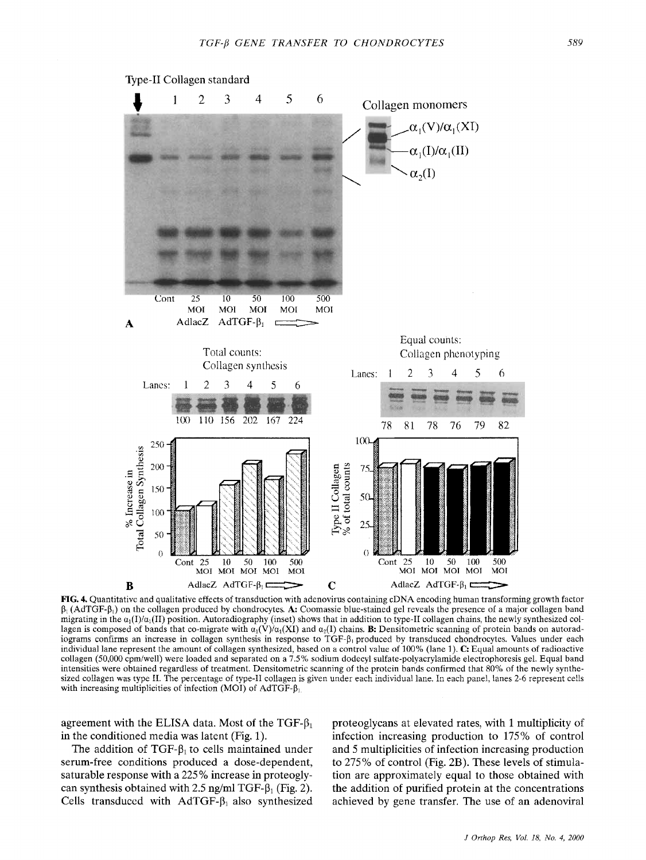

 $\beta_1$  (AdTGF- $\beta_1$ ) on the collagen produced by chondrocytes. A: Coomassie blue-stained gel reveals the presence of a major collagen band migrating in the  $\alpha_1(I)/\alpha_1(II)$  position. Autoradiography (inset) shows that in addition to type-II collagen chains, the newly synthesized collagen is composed of bands that co-migrate with  $\alpha_1(\vec{V})/\alpha_1(\vec{X})$  and  $\alpha_2(\vec{I})$  chains. **B:** Densitometric scanning of protein bands on autoradiograms confirms an increase in collagen synthesis in response to TGF- $\beta_1$  produced by transduced chondrocytes. Values under each individual lane represent the amount of collagen synthesized, based on a control value of 100% (lane 1). **C:** Equal amounts of radioactive collagen (50,000 cpm/well) were loaded and separated on a 7.5% sodium dodecyl sulfate-polyacrylamide electrophoresis gel. Equal band intensities were obtained regardless of treatment. Densitometric scanning of the protein bands confirmed that 80% of the newly synthesized collagen was type **11.** The percentage of type-I1 collagen is given under each individual lane. In each panel, lanes 2-6 represent cells with increasing multiplicities of infection (MOI) of AdTGF- $\beta_1$ 

agreement with the ELISA data. Most of the TGF- $\beta_1$ in the conditioned media was latent (Fig. 1).

The addition of TGF- $\beta_1$  to cells maintained under serum-free conditions produced a dose-dependent, saturable response with a 225 % increase in proteoglycan synthesis obtained with 2.5 ng/ml TGF- $\beta_1$  (Fig. 2). Cells transduced with  $A dTGF-<sub>1</sub>$  also synthesized

proteoglycans at elevated rates, with 1 multiplicity of infection increasing production to **175%** of control and *5* multiplicities of infection increasing production to 275 % of control (Fig. 2B). These levels of stimulation are approximately equal to those obtained with the addition of purified protein at the concentrations achieved by gene transfer. The use of an adenoviral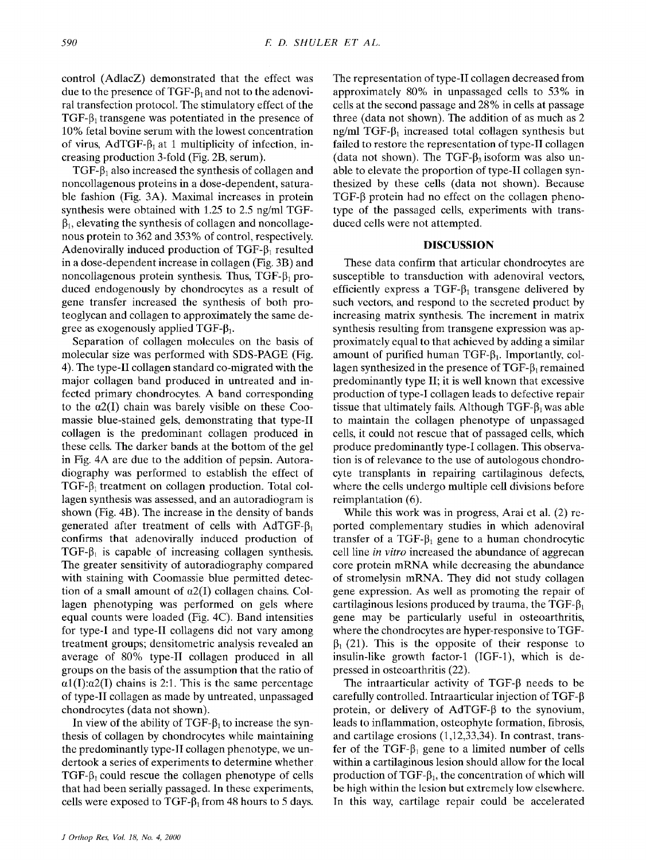control (AdlacZ) demonstrated that the effect was due to the presence of  $TGF- $\beta_1$  and not to the adenovi$ ral transfection protocol. The stimulatory effect of the TGF- $\beta_1$  transgene was potentiated in the presence of 10% fetal bovine serum with the lowest concentration of virus, AdTGF- $\beta_1$  at 1 multiplicity of infection, increasing production 3-fold (Fig. 2B, serum).

TGF- $\beta_1$  also increased the synthesis of collagen and noncollagenous proteins in a dose-dependent, saturable fashion (Fig. 3A). Maximal increases in protein synthesis were obtained with 1.25 to 2.5 ng/ml TGF- $\beta_1$ , elevating the synthesis of collagen and noncollagenous protein to 362 and 353% of control, respectively. Adenovirally induced production of  $TGF-<sub>1</sub>$  resulted in a dose-dependent increase in collagen (Fig. 3B) and noncollagenous protein synthesis. Thus,  $TGF- $\beta_1$  pro$ duced endogenously by chondrocytes as a result of gene transfer increased the synthesis of both proteoglycan and collagen to approximately the same degree as exogenously applied TGF- $\beta_1$ .

Separation of collagen molecules on the basis of molecular size was performed with SDS-PAGE (Fig. 4). The type-I1 collagen standard co-migrated with the major collagen band produced in untreated and infected primary chondrocytes. A band corresponding to the *a2(I)* chain was barely visible on these *Coo*massie blue-stained gels, demonstrating that type-I1 collagen is the predominant collagen produced in these cells. The darker bands at the bottom of the gel in Fig. 4A are due to the addition of pepsin. Autoradiography was performed to establish the effect of  $TGF- $\beta_1$  treatment on collagen production. Total col$ lagen synthesis was assessed, and an autoradiogram is shown (Fig. 4B). The increase in the density of bands generated after treatment of cells with AdTGF- $\beta_1$ confirms that adenovirally induced production of TGF- $\beta_1$  is capable of increasing collagen synthesis. The greater sensitivity of autoradiography compared with staining with Coomassie blue permitted detection of a small amount of  $\alpha$ 2(I) collagen chains. Collagen phenotyping was performed on gels where equal counts were loaded (Fig. 4C). Band intensities for type-I and type-I1 collagens did not vary among treatment groups; densitometric analysis revealed an average of 80% type-I1 collagen produced in all groups on the basis of the assumption that the ratio of  $\alpha$ 1(I): $\alpha$ 2(I) chains is 2:1. This is the same percentage of type-I1 collagen as made by untreated, unpassaged chondrocytes (data not shown).

In view of the ability of TGF- $\beta_1$  to increase the synthesis of collagen by chondrocytes while maintaining the predominantly type-TI collagen phenotype, we undertook a series of experiments to determine whether TGF- $\beta_1$  could rescue the collagen phenotype of cells that had been serially passaged. In these experiments, cells were exposed to  $TGF-\beta_1$  from 48 hours to 5 days.

The representation of type-TI collagen decreased from approximately 80% in unpassaged cells to 53% in cells at the second passage and 28% in cells at passage three (data not shown). The addition of as much as 2 ng/ml TGF- $\beta_1$  increased total collagen synthesis but failed to restore the representation of type-TI collagen (data not shown). The TGF- $\beta_3$  isoform was also unable to elevate the proportion of type-I1 collagen synthesized by these cells (data not shown). Because  $TGF- $\beta$  protein had no effect on the collagen pheno$ type of the passaged cells, experiments with transduced cells were not attempted.

#### **DISCUSSION**

These data confirm that articular chondrocytes are susceptible to transduction with adenoviral vectors, efficiently express a  $TGF-<sub>1</sub>$  transgene delivered by such vectors, and respond to the secreted product by increasing matrix synthesis. The increment in matrix synthesis resulting from transgene expression was approximately equal to that achieved by adding a similar amount of purified human TGF- $\beta_1$ . Importantly, collagen synthesized in the presence of TGF- $\beta_1$  remained predominantly type **11;** it is well known that excessive production of type-I collagen leads to defective repair tissue that ultimately fails. Although  $TGF-\beta_1$  was able to maintain the collagen phenotype of unpassaged cells, it could not rescue that of passaged cells, which produce predominantly type-I collagen. This observation is of relevance to the use of autologous chondrocyte transplants in repairing cartilaginous defects, where the cells undergo multiple cell divisions before reimplantation (6).

While this work was in progress, Arai et al. (2) reported complementary studies in which adenoviral transfer of a TGF- $\beta_1$  gene to a human chondrocytic cell line *in vitro* increased the abundance of aggrecan core protein mRNA while decreasing the abundance of stromelysin mRNA. They did not study collagen gene expression. **As** well as promoting the repair of cartilaginous lesions produced by trauma, the TGF- $\beta_1$ gene may be particularly useful in osteoarthritis, where the chondrocytes are hyper-responsive to TGF- $\beta_1$  (21). This is the opposite of their response to insulin-like growth factor-1 (IGF-l), which is depressed in osteoarthritis (22).

The intraarticular activity of  $TGF-\beta$  needs to be carefully controlled. Intraarticular injection of TGF- $\beta$ protein, or delivery of  $AdTGF- $\beta$  to the synonym,$ leads to inflammation, osteophyte formation, fibrosis, and cartilage erosions (1,12,33,34). Tn contrast. transfer of the TGF- $\beta_1$  gene to a limited number of cells within a cartilaginous lesion should allow for the local production of TGF- $\beta_1$ , the concentration of which will be high within the lesion but extremely low elsewhere. In this way, cartilage repair could be accelerated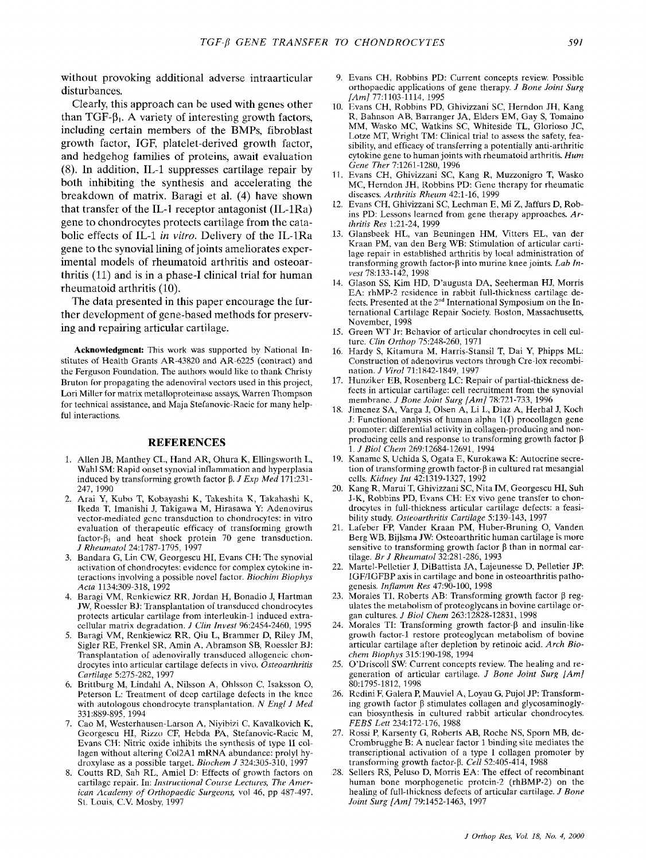without provoking additional adverse intraarticular disturbances.

Clearly, this approach can be used with genes other than  $TGF- $\beta_1$ . A variety of interesting growth factors,$ including certain members of the BMPs, fibroblast growth factor, IGF, platelet-derived growth factor, and hedgehog families of proteins, await evaluation **(8).** In addition, IL-1 suppresses cartilage repair by both inhibiting the synthesis and accelerating the breakdown of matrix. Baragi et al. (4) have shown that transfer of the IL-1 receptor antagonist (IL-1Ra) gene to chondrocytes protects cartilage from the catabolic effects of IL-1 *in vitro.* Delivery of the IL-1Ra gene to the synovial lining of joints ameliorates experimental models of rheumatoid arthritis and osteoarthritis (11) and is in a phase-I clinical trial for human rheumatoid arthritis (10).

The data presented in this paper encourage the further development of gene-based methods for preserving and repairing articular cartilage.

**Acknowledgment:** This work was supported by National Institutes of Health Grants AR-43820 and AR-6225 (contract) and the Ferguson Foundation. The authors would like to thank Christy Bruton for propagating the adenoviral vectors used in this project, Lori Miller for matrix metalloproteinase assays. Warren Thompson for technical assistance, and Maja Stefanovic-Racic for many helpful interactions.

#### **REFERENCES**

- 1. Allen JB, Manthey CL, Hand AR, Ohura K, Ellingsworth L, Wahl SM: Rapid onset synovial inflammation and hyperplasia induced by transforming growth factor P. *J* Exp Med 171:231- 247, 1990
- 2. Arai Y, Kuho T, Kobayashi **K,** Takeshita K, Takahashi K, Ikeda T, Imanishi J, Takigawa M, Hirasawa Y: Adenovirus vector-mediated gcnc transduction to chondrocytes: in vitro evaluation of therapeulic efficacy of tramforming growth factor- $\beta_1$  and heat shock protein 70 gene transduction. *J* Rheumatol24:1787-1795, 1997
- *3.*  Bandara G, Lin CW, Georgescu HI, Evans CH: Thc synovial activation of chondrocytes: evidence for complex cytokine interactions involving a possible novel factor. *Riochim Biophys*  Acta 1134:309-318, 1992
- 4. Baragi VM, Renkiewicz RR, Jordan H. Bonadio J, Hartman JW, Roesslcr BJ: Transplantation of transduccd chondrocytes protects articular cartilage from interleukin-1 induced extracellular matrix degradation. J *Clin* Invest 96:2454-2460, 1995
- 5. Baragi VM, Renkiewicz RR. Qiu L, Braminer D, Riley JM, Sigler RE, Frenkel SR, Amin A, Abramson SB, Roessler BJ: Transplantation *ot* adenovirally transduced allogeneic chondrocytes into articular cartilage defects in vivo. Osteoarthritis Cartilage 5:275-282, 1997
- *6.*  Britlburg M, Lindahl A, Nilsson A, Ohlsson C. Isaksson 0, Peterson L: Treatment of dcep cartilage defects in the knee with autologous chondrocyte transplantation. *N* Engl *J Med*  331:889-895. 1994
- 7. Cao M, Westerhausen-Larson A, Niyibizi C, Kavalkovich K, Georgescu HI, Rizzo CF, Hebda PA, Stefanovic-Racic M, Evans CH: Nitric oxide inhibits the synthesis of type **I1** collagen without altering Col2A1 mRNA abundance: prolyl hydroxylase as a possible target. Biochem *J* 324:305-310, 1997
- 8. Coutts RD, Sah RL, Amiel D: Effects of growth factors on cartilagc repair. In: Instructional *Course* Lectures, The American Academy *of* Orthopaedic Surgeons, **vol** 46, pp 487-497. S1. Louis. C.V. Mosby. 1997
- 9. Evans CH, Robbins PD: Current concepts review. Possible orthopaedic applications of gene therapy. .I Bone *Joint* Surg */Am]* 77:1103-1114, 1995
- 10. Evans CH. Robbins PD, Ghivizzani SC, Herndon JH, Kang R, Bahnson AB, Barranger JA, Elders EM, Gay *S,* Tomaino MM, Wasko MC, Watkins SC, Whiteside TL, Glorioso JC, Lotze MT, Wright TM: Clinical trial to assess the safety, feasibility, and efficacy of transterring a potentially anti-arthritic cytokine gene to human joints with rheumatoid arthritis. *Hum*  Gene Ther 7:1261-1280, 1996
- 11. Evans CH, Ghivizzani SC, Kang R, Muzzonigro T, Wasko MC, Herndon JH. Robbins PD: Gene therapy for rheumatic diseases. Arthritis Rheum 42:1-16, 1999
- 12. Evans CH. Ghivizzani SC, Lechman E, Mi Z, Jaffurs D, Robins PD: Lessons learned from gene therapy approaches. *Ar*thritis *Res* 1:21-24, 1999
- 13. Glansbeek HL, van Beuningen HM, Vitters EL, van der Kraan PM. van den Berg WB: Stimulation of articular cartilage repair in established arthritis by local administration of transforming growth factor-0 into murine knee joints. *Lab* Invest 78:133-142, 1998
- 14. Glason **SS,** Kim HD, D'augusta DA, Seeherman HJ, Morris EA: rhMP-2 residence in rabbit full-thickness cartilage defirst known a distance of 2<sup>nd</sup> International Symposium on the International Cartilage Repair Society. Boston, Massachusetts, November, 1998
- 15. Green WT Jr: Bchavior *of* articular chondrocytes in cell culture. Clin Orthop 75:248-260, 1971
- 16. Hardy S, Kitamura M, Harris-Stansil **T,** Dai **Y,** Phipps ML Construction of adenovirus vectors through Cre-lox recombination. *J Virol* 71:1842-1849, 1997
- 17. Hunziker EB. Rosenberg LC: Repair of partial-thickness defects in articular cartilage: cell recruitment from the synovial membrane. *J* Bone Joint Surg */Am]* 78:721-733, 1996
- 18. Jimenez SA, Varga J, Olsen A, Li L, Diaz A, Herhal J, Koch J: Functional analysis of human alpha **1(T)** procollagen gene promoter: differential activity in collagen-producing and nonproducing cells and response to transforming growth factor  $\beta$ 1. *J Bid* Chem 269:12684-12691, 1994
- 19. Kaname S, Uchida S, Ogata E, Kurokawa K: Autocrine secretion of transforming growth factor- $\beta$  in cultured rat mesangial cclls. Kidney *Int* 42:1319-1327, 1992
- 20. Kang R, Marui T. Ghivizzani SC, Nita IM, Georgescu HI, Suh J-K, Robbins PD, Evans CH: Ex vivo gene transfer to chondrocytes in full-thickness articular cartilage defects: a feasibility study. Osteoarthritis Cartilage 5:139-143, 1997
- 21. Lakber FP, Vander Kraan PM, Huber-Rruning 0, Vanden Berg WB, Bijlsma JW: Osteoarthritic human cartilage is more sensitive to transforming growth factor  $\beta$  than in normal cartilage. Br J Rheumatol 32:281-286, 1993
- 22. Martel-Pcllctier **J,** DiBattista JA, Lajeunesse D, Pelletier JP: IGFIIGFBP axis in cartilagc and bone in osteoarthritis pathogenesis. Inflamm Res 47:90-100, 1998
- 23. Morales TI, Roberts AB: Transforming growth factor  $\beta$  regulates the merabolism of proteoglycans in bovine cartilage organ cultures. J *Biol Chem* 263:12828-12831, 1998
- 24. Morales TI: Transforming growth factor- $\beta$  and insulin-like growth factor-1 restore proteoglycan metabolism of bovine articular cartilage after depletion by retinoic acid. Arch Bio*chem Riophys* 315:190-198, 1994
- 25. O'Driscoll SW: Current concepts review. The healing and regeneration of articular cartilage. *J* Bone Joint Surg *[Am]*  80:1795-1812, 1998
- 26. Rcdini F. Galera P, Mauviel **A,** Loyau G, Pujol JP: Transforming growth factor  $\beta$  stimulates collagen and glycosaminoglycan biosynthesis in cultured rabbit articular chondrocytes. FEBS Lett 234:172-176, 1988
- 27. Rossi P, Karsenty *G,* Roberts AB, Roche NS, Sporn MB, de-Crombrugghe B: A nuclear factor 1 binding site mediates the transcriptional activation of a type **1** collagen promoter by transforming growth factor- $\beta$ . Cell 52:405-414, 1988
- *28.*  Sellers RS, Peluso D, Morris EA: The effect of recombinant human bone morphogenetic protcin-2 (rhBMP-2) on the healing of full-thickness defects of articular cartilage. *J* Bone .Joint *Surg /Am]* 79:1452-1463, 1997